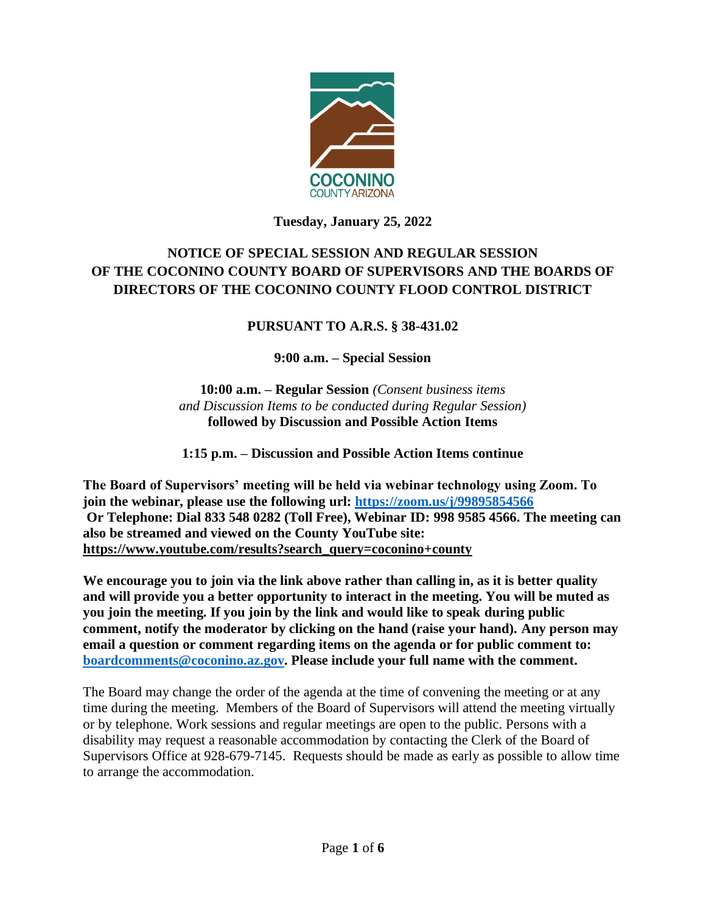

### **Tuesday, January 25, 2022**

# **NOTICE OF SPECIAL SESSION AND REGULAR SESSION OF THE COCONINO COUNTY BOARD OF SUPERVISORS AND THE BOARDS OF DIRECTORS OF THE COCONINO COUNTY FLOOD CONTROL DISTRICT**

### **PURSUANT TO A.R.S. § 38-431.02**

**9:00 a.m. – Special Session**

**10:00 a.m. – Regular Session** *(Consent business items and Discussion Items to be conducted during Regular Session)* **followed by Discussion and Possible Action Items** 

**1:15 p.m. – Discussion and Possible Action Items continue**

**The Board of Supervisors' meeting will be held via webinar technology using Zoom. To join the webinar, please use the following url: <https://zoom.us/j/99895854566> Or Telephone: Dial 833 548 0282 (Toll Free), Webinar ID: 998 9585 4566. The meeting can also be streamed and viewed on the County YouTube site: [https://www.youtube.com/results?search\\_query=coconino+county](https://www.youtube.com/results?search_query=coconino+county)**

**We encourage you to join via the link above rather than calling in, as it is better quality and will provide you a better opportunity to interact in the meeting. You will be muted as you join the meeting. If you join by the link and would like to speak during public comment, notify the moderator by clicking on the hand (raise your hand). Any person may email a question or comment regarding items on the agenda or for public comment to: [boardcomments@coconino.az.gov.](mailto:boardcomments@coconino.az.gov) Please include your full name with the comment.** 

The Board may change the order of the agenda at the time of convening the meeting or at any time during the meeting. Members of the Board of Supervisors will attend the meeting virtually or by telephone. Work sessions and regular meetings are open to the public. Persons with a disability may request a reasonable accommodation by contacting the Clerk of the Board of Supervisors Office at 928-679-7145. Requests should be made as early as possible to allow time to arrange the accommodation.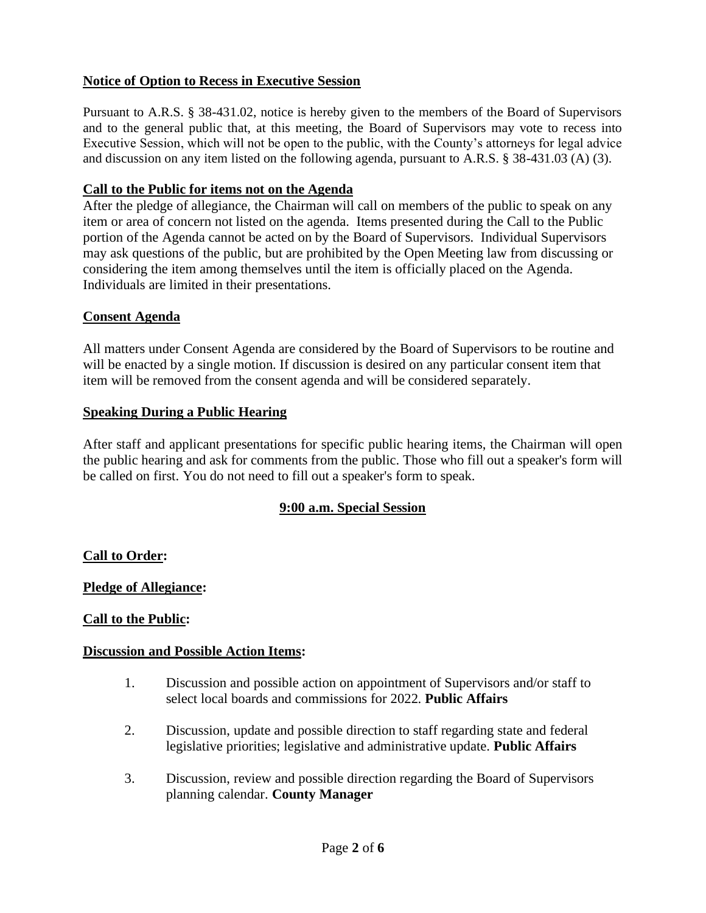### **Notice of Option to Recess in Executive Session**

Pursuant to A.R.S. § 38-431.02, notice is hereby given to the members of the Board of Supervisors and to the general public that, at this meeting, the Board of Supervisors may vote to recess into Executive Session, which will not be open to the public, with the County's attorneys for legal advice and discussion on any item listed on the following agenda, pursuant to A.R.S. § 38-431.03 (A) (3).

### **Call to the Public for items not on the Agenda**

After the pledge of allegiance, the Chairman will call on members of the public to speak on any item or area of concern not listed on the agenda. Items presented during the Call to the Public portion of the Agenda cannot be acted on by the Board of Supervisors. Individual Supervisors may ask questions of the public, but are prohibited by the Open Meeting law from discussing or considering the item among themselves until the item is officially placed on the Agenda. Individuals are limited in their presentations.

### **Consent Agenda**

All matters under Consent Agenda are considered by the Board of Supervisors to be routine and will be enacted by a single motion. If discussion is desired on any particular consent item that item will be removed from the consent agenda and will be considered separately.

### **Speaking During a Public Hearing**

After staff and applicant presentations for specific public hearing items, the Chairman will open the public hearing and ask for comments from the public. Those who fill out a speaker's form will be called on first. You do not need to fill out a speaker's form to speak.

## **9:00 a.m. Special Session**

### **Call to Order:**

### **Pledge of Allegiance:**

### **Call to the Public:**

### **Discussion and Possible Action Items:**

- 1. Discussion and possible action on appointment of Supervisors and/or staff to select local boards and commissions for 2022. **Public Affairs**
- 2. Discussion, update and possible direction to staff regarding state and federal legislative priorities; legislative and administrative update. **Public Affairs**
- 3. Discussion, review and possible direction regarding the Board of Supervisors planning calendar. **County Manager**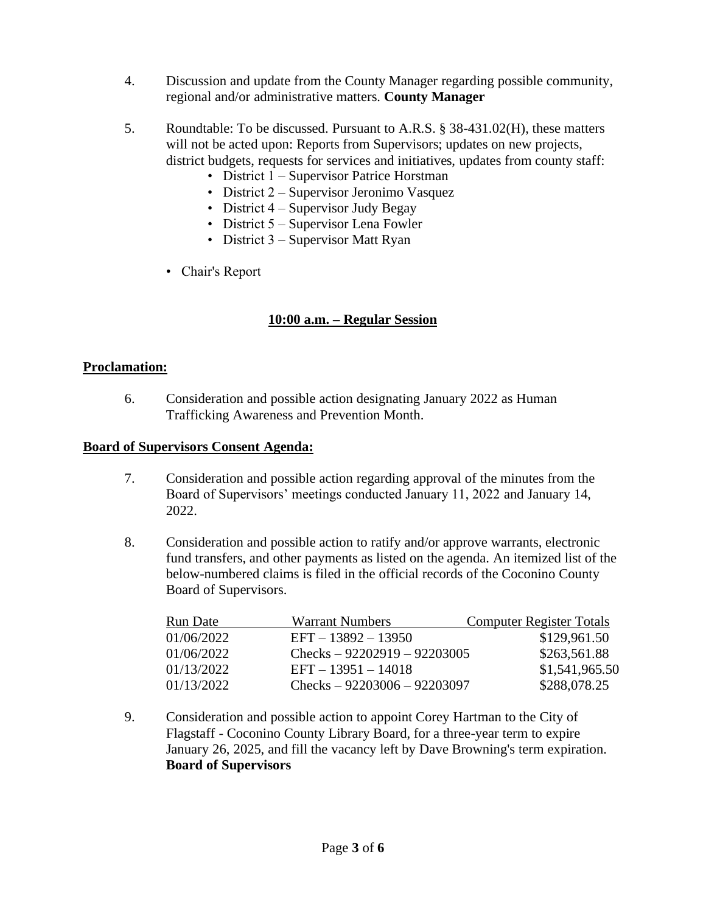- 4. Discussion and update from the County Manager regarding possible community, regional and/or administrative matters. **County Manager**
- 5. Roundtable: To be discussed. Pursuant to A.R.S. § 38-431.02(H), these matters will not be acted upon: Reports from Supervisors; updates on new projects, district budgets, requests for services and initiatives, updates from county staff:
	- District 1 Supervisor Patrice Horstman
	- District 2 Supervisor Jeronimo Vasquez
	- District 4 Supervisor Judy Begay
	- District 5 Supervisor Lena Fowler
	- District 3 Supervisor Matt Ryan
	- Chair's Report

### **10:00 a.m. – Regular Session**

#### **Proclamation:**

6. Consideration and possible action designating January 2022 as Human Trafficking Awareness and Prevention Month.

#### **Board of Supervisors Consent Agenda:**

- 7. Consideration and possible action regarding approval of the minutes from the Board of Supervisors' meetings conducted January 11, 2022 and January 14, 2022.
- 8. Consideration and possible action to ratify and/or approve warrants, electronic fund transfers, and other payments as listed on the agenda. An itemized list of the below-numbered claims is filed in the official records of the Coconino County Board of Supervisors.

| Run Date   | <b>Warrant Numbers</b>        | <b>Computer Register Totals</b> |
|------------|-------------------------------|---------------------------------|
| 01/06/2022 | $EFT - 13892 - 13950$         | \$129,961.50                    |
| 01/06/2022 | Checks $-92202919 - 92203005$ | \$263,561.88                    |
| 01/13/2022 | $EFT - 13951 - 14018$         | \$1,541,965.50                  |
| 01/13/2022 | Checks $-92203006 - 92203097$ | \$288,078.25                    |

9. Consideration and possible action to appoint Corey Hartman to the City of Flagstaff - Coconino County Library Board, for a three-year term to expire January 26, 2025, and fill the vacancy left by Dave Browning's term expiration. **Board of Supervisors**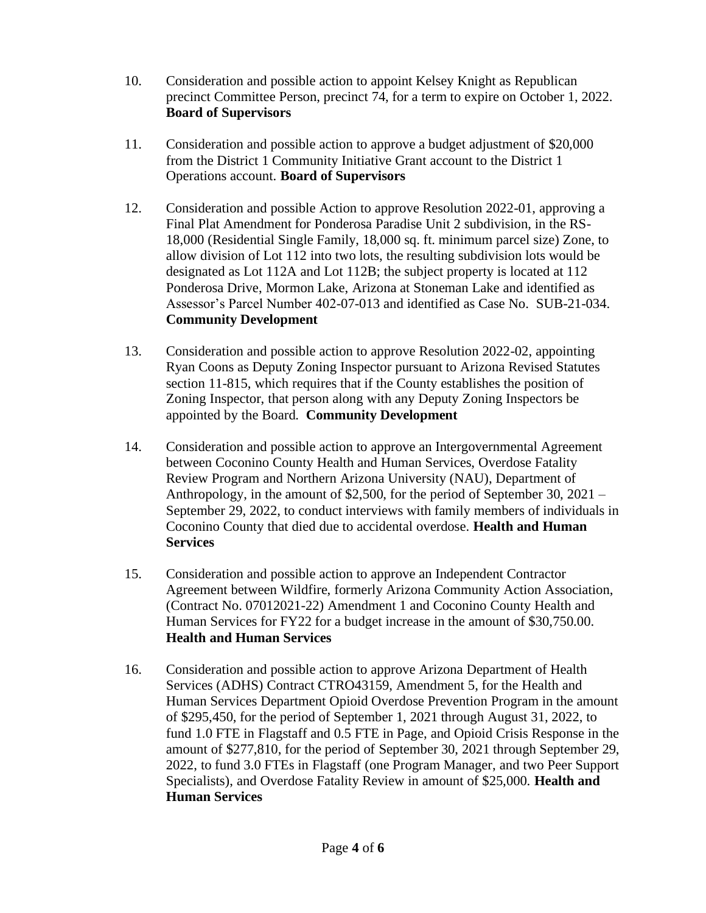- 10. Consideration and possible action to appoint Kelsey Knight as Republican precinct Committee Person, precinct 74, for a term to expire on October 1, 2022. **Board of Supervisors**
- 11. Consideration and possible action to approve a budget adjustment of \$20,000 from the District 1 Community Initiative Grant account to the District 1 Operations account. **Board of Supervisors**
- 12. Consideration and possible Action to approve Resolution 2022-01, approving a Final Plat Amendment for Ponderosa Paradise Unit 2 subdivision, in the RS-18,000 (Residential Single Family, 18,000 sq. ft. minimum parcel size) Zone, to allow division of Lot 112 into two lots, the resulting subdivision lots would be designated as Lot 112A and Lot 112B; the subject property is located at 112 Ponderosa Drive, Mormon Lake, Arizona at Stoneman Lake and identified as Assessor's Parcel Number 402-07-013 and identified as Case No. SUB-21-034. **Community Development**
- 13. Consideration and possible action to approve Resolution 2022-02, appointing Ryan Coons as Deputy Zoning Inspector pursuant to Arizona Revised Statutes section 11-815, which requires that if the County establishes the position of Zoning Inspector, that person along with any Deputy Zoning Inspectors be appointed by the Board. **Community Development**
- 14. Consideration and possible action to approve an Intergovernmental Agreement between Coconino County Health and Human Services, Overdose Fatality Review Program and Northern Arizona University (NAU), Department of Anthropology, in the amount of \$2,500, for the period of September 30, 2021 – September 29, 2022, to conduct interviews with family members of individuals in Coconino County that died due to accidental overdose. **Health and Human Services**
- 15. Consideration and possible action to approve an Independent Contractor Agreement between Wildfire, formerly Arizona Community Action Association, (Contract No. 07012021-22) Amendment 1 and Coconino County Health and Human Services for FY22 for a budget increase in the amount of \$30,750.00. **Health and Human Services**
- 16. Consideration and possible action to approve Arizona Department of Health Services (ADHS) Contract CTRO43159, Amendment 5, for the Health and Human Services Department Opioid Overdose Prevention Program in the amount of \$295,450, for the period of September 1, 2021 through August 31, 2022, to fund 1.0 FTE in Flagstaff and 0.5 FTE in Page, and Opioid Crisis Response in the amount of \$277,810, for the period of September 30, 2021 through September 29, 2022, to fund 3.0 FTEs in Flagstaff (one Program Manager, and two Peer Support Specialists), and Overdose Fatality Review in amount of \$25,000. **Health and Human Services**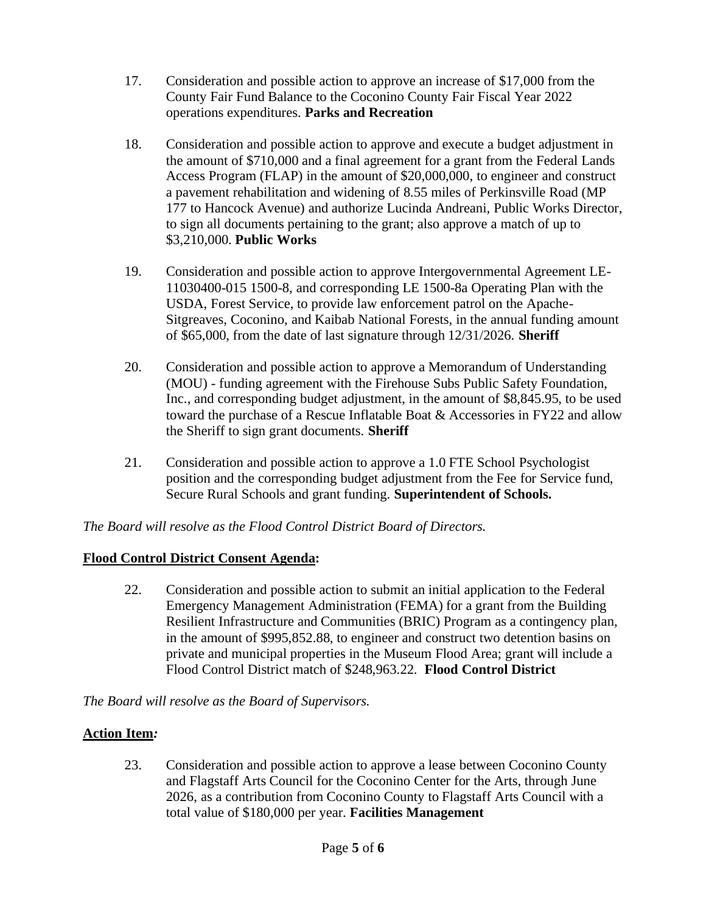- 17. Consideration and possible action to approve an increase of \$17,000 from the County Fair Fund Balance to the Coconino County Fair Fiscal Year 2022 operations expenditures. **Parks and Recreation**
- 18. Consideration and possible action to approve and execute a budget adjustment in the amount of \$710,000 and a final agreement for a grant from the Federal Lands Access Program (FLAP) in the amount of \$20,000,000, to engineer and construct a pavement rehabilitation and widening of 8.55 miles of Perkinsville Road (MP 177 to Hancock Avenue) and authorize Lucinda Andreani, Public Works Director, to sign all documents pertaining to the grant; also approve a match of up to \$3,210,000. **Public Works**
- 19. Consideration and possible action to approve Intergovernmental Agreement LE-11030400-015 1500-8, and corresponding LE 1500-8a Operating Plan with the USDA, Forest Service, to provide law enforcement patrol on the Apache-Sitgreaves, Coconino, and Kaibab National Forests, in the annual funding amount of \$65,000, from the date of last signature through 12/31/2026. **Sheriff**
- 20. Consideration and possible action to approve a Memorandum of Understanding (MOU) - funding agreement with the Firehouse Subs Public Safety Foundation, Inc., and corresponding budget adjustment, in the amount of \$8,845.95, to be used toward the purchase of a Rescue Inflatable Boat & Accessories in FY22 and allow the Sheriff to sign grant documents. **Sheriff**
- 21. Consideration and possible action to approve a 1.0 FTE School Psychologist position and the corresponding budget adjustment from the Fee for Service fund, Secure Rural Schools and grant funding. **Superintendent of Schools.**

## *The Board will resolve as the Flood Control District Board of Directors.*

## **Flood Control District Consent Agenda:**

22. Consideration and possible action to submit an initial application to the Federal Emergency Management Administration (FEMA) for a grant from the Building Resilient Infrastructure and Communities (BRIC) Program as a contingency plan, in the amount of \$995,852.88, to engineer and construct two detention basins on private and municipal properties in the Museum Flood Area; grant will include a Flood Control District match of \$248,963.22. **Flood Control District**

*The Board will resolve as the Board of Supervisors.*

# **Action Item***:*

23. Consideration and possible action to approve a lease between Coconino County and Flagstaff Arts Council for the Coconino Center for the Arts, through June 2026, as a contribution from Coconino County to Flagstaff Arts Council with a total value of \$180,000 per year. **Facilities Management**